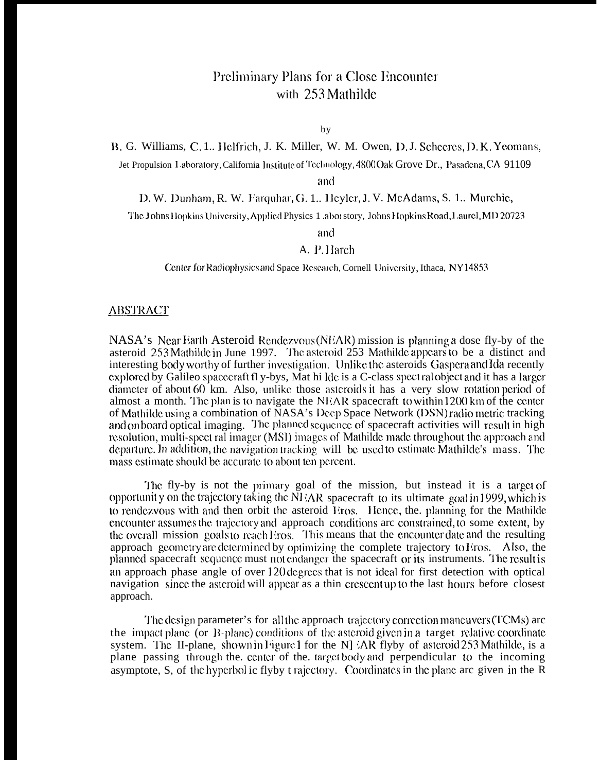## Preliminary Plans for a Close Encounter with 253 Mathilde

by

B. G. Williams, C. 1.. Helfrich, J. K. Miller, W. M. Owen, D. J. Scheeres, D. K. Yeomans,

Jet Propulsion Laboratory, California Institute of Technology, 4800 Oak Grove Dr., Pasadena, CA 91109

and

D. W. Dunham, R. W. Farquhar, G. 1.. Heyler, J. V. McAdams, S. 1.. Murchie,

The Johns Hopkins University, Applied Physics 1 .abor story, Johns Hopkins Road, Laurel, MD 20723

and

## A. P. Harch

Center for Radiophysics and Space Research, Cornell University, Ithaca, NY14853

## <u>ABSTRACT</u>

NASA's Near Earth Asteroid Rendezvous (NEAR) mission is planning a dose fly-by of the asteroid 253 Mathilde in June 1997. The asteroid 253 Mathilde appears to be a distinct and interesting body worthy of further investigation. Unlike the asteroids Gaspera and Ida recently explored by Galileo spacecraft fly-bys, Mat hi Ide is a C-class spectral object and it has a larger diameter of about 60 km. Also, unlike those asteroids it has a very slow rotation period of almost a month. The plan is to navigate the NEAR spacecraft to within  $1200 \text{ km of the center}$ of Mathilde using a combination of NASA's Deep Space Network (DSN) radio metric tracking and on board optical imaging. The planned sequence of spacecraft activities will result in high resolution, multi-spect ral imager (MSI) images of Mathilde made throughout the approach and departure. In addition, the navigation tracking will be used to estimate Mathilde's mass. The mass estimate should be accurate to about ten percent.

The fly-by is not the primary goal of the mission, but instead it is a target of opportunity on the trajectory taking the NHAR spacecraft to its ultimate goal in 1999, which is to rendezvous with and then orbit the asteroid Eros. Hence, the planning for the Mathilde encounter assumes the trajectory and approach conditions are constrained, to some extent, by the overall mission goals to reach Eros. This means that the encounter date and the resulting approach geometry are determined by optimizing the complete trajectory to Eros. Also, the planned spacecraft sequence must not endanger the spacecraft or its instruments. The result is an approach phase angle of over 120 degrees that is not ideal for first detection with optical navigation since the asteroid will appear as a thin crescent up to the last hours before closest approach.

The design parameter's for all the approach trajectory correction maneuvers (TCMs) are the impact plane (or B-plane) conditions of the asteroid given in a target relative coordinate system. The II-plane, shown in Figure 1 for the NJ :AR flyby of asteroid 253 Mathilde, is a plane passing through the center of the target body and perpendicular to the incoming asymptote, S, of the hyperbol ic flyby t rajectory. Coordinates in the plane arc given in the R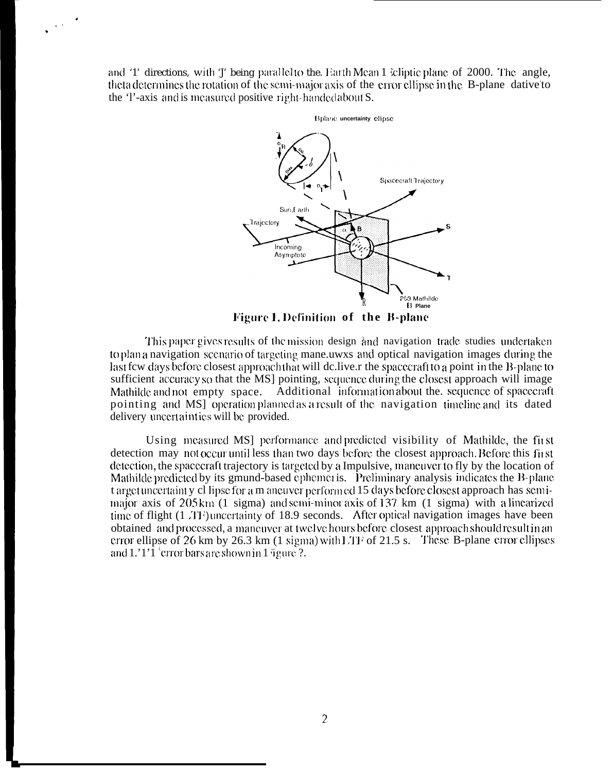and '1' directions, with 'J' being parallel to the. Earth Mean 1 kiptic plane of 2000. The angle, theta determines the rotation of the semi-major axis of the error ellipse in the B-plane dative to the 'l'-axis and is measured positive right-handed about S.

 $\sim$ 



Figure 1. Definition of the B-plane

This paper gives results of the mission design and navigation trade studies undertaken to plan a navigation scenario of targeting mane uwxs and optical navigation images during the last few days before closest approach that will deliver the spacecraft to a point in the B-plane to sufficient accuracy so that the MS] pointing, sequence during the closest approach will image Mathilde and not empty space. Additional information about the sequence of spacecraft pointing and MSI operation planned as a result of the navigation timeline and its dated delivery uncertainties will be provided.

Using measured MS] performance and predicted visibility of Mathilde, the first detection may not occur until less than two days before the closest approach. Before this first detection, the spacecraft trajectory is targeted by a Impulsive, maneuver to fly by the location of Mathilde predicted by its gmund-based ephemeris. Preliminary analysis indicates the B-plane t arget uncertainty cl lipse for a m aneuver performed 15 days before closest approach has semimajor axis of 205 km (1 sigma) and semi-minor axis of 137 km (1 sigma) with a linearized time of flight (1.71) uncertainty of 18.9 seconds. After optical navigation images have been obtained and processed, a maneuver at twelve hours before closest approach should result in an error ellipse of 26 km by 26.3 km  $(1 \text{ sigma})$  with LTF of 21.5 s. These B-plane error ellipses and  $1.'1'1'$  error bars are shown in 1 igure ?.